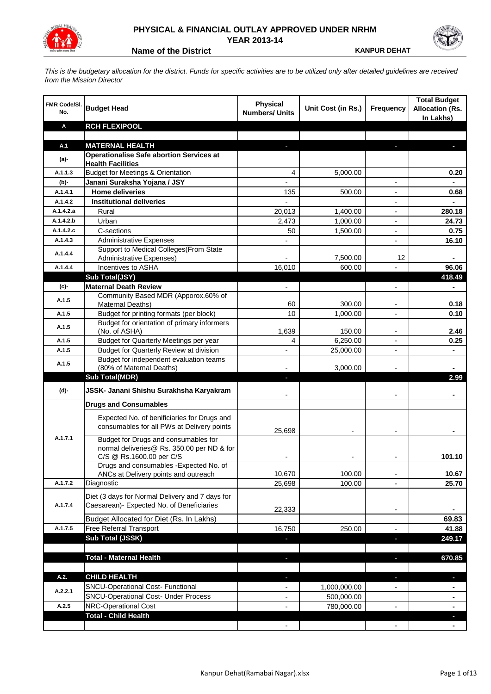

## **PHYSICAL & FINANCIAL OUTLAY APPROVED UNDER NRHM YEAR 2013-14**

**Name of the District <b>KANPUR DEHAT** 

*This is the budgetary allocation for the district. Funds for specific activities are to be utilized only after detailed guidelines are received from the Mission Director*

| FMR Code/SI.<br>No. | <b>Budget Head</b>                                                                                             | <b>Physical</b><br><b>Numbers/ Units</b> | Unit Cost (in Rs.)       | Frequency                | <b>Total Budget</b><br><b>Allocation (Rs.</b><br>In Lakhs) |
|---------------------|----------------------------------------------------------------------------------------------------------------|------------------------------------------|--------------------------|--------------------------|------------------------------------------------------------|
| Α                   | <b>RCH FLEXIPOOL</b>                                                                                           |                                          |                          |                          |                                                            |
|                     |                                                                                                                |                                          |                          |                          |                                                            |
| A.1                 | <b>MATERNAL HEALTH</b>                                                                                         |                                          |                          |                          |                                                            |
| $(a)$ -             | <b>Operationalise Safe abortion Services at</b><br><b>Health Facilities</b>                                    |                                          |                          |                          |                                                            |
| A.1.1.3             | <b>Budget for Meetings &amp; Orientation</b>                                                                   | 4                                        | 5,000.00                 |                          | 0.20                                                       |
| (b)-                | Janani Suraksha Yojana / JSY                                                                                   |                                          |                          | $\overline{\phantom{a}}$ |                                                            |
| A.1.4.1             | <b>Home deliveries</b>                                                                                         | 135                                      | 500.00                   |                          | 0.68                                                       |
| A.1.4.2             | <b>Institutional deliveries</b>                                                                                |                                          |                          |                          |                                                            |
| A.1.4.2.a           | Rural                                                                                                          | 20.013                                   | 1,400.00                 |                          | 280.18                                                     |
| A.1.4.2.b           | Urban                                                                                                          | 2,473                                    | 1,000.00                 |                          | 24.73                                                      |
| A.1.4.2.c           | C-sections                                                                                                     | 50                                       | 1,500.00                 |                          | 0.75                                                       |
| A.1.4.3             | <b>Administrative Expenses</b>                                                                                 |                                          |                          |                          | 16.10                                                      |
|                     | Support to Medical Colleges (From State                                                                        |                                          |                          |                          |                                                            |
| A.1.4.4             | <b>Administrative Expenses)</b>                                                                                |                                          | 7,500.00                 | 12                       |                                                            |
| A.1.4.4             | Incentives to ASHA                                                                                             | 16,010                                   | 600.00                   |                          | 96.06                                                      |
|                     | Sub Total(JSY)                                                                                                 |                                          |                          |                          | 418.49                                                     |
| (c)-                | <b>Maternal Death Review</b>                                                                                   | $\overline{\phantom{a}}$                 |                          | $\overline{\phantom{a}}$ | ٠                                                          |
| A.1.5               | Community Based MDR (Apporox.60% of<br>Maternal Deaths)                                                        | 60                                       | 300.00                   |                          | 0.18                                                       |
| A.1.5               | Budget for printing formats (per block)                                                                        | 10                                       | 1,000.00                 | $\overline{a}$           | 0.10                                                       |
| A.1.5               | Budget for orientation of primary informers<br>(No. of ASHA)                                                   | 1,639                                    | 150.00                   | $\overline{\phantom{a}}$ | 2.46                                                       |
| A.1.5               | Budget for Quarterly Meetings per year                                                                         | 4                                        | 6,250.00                 | $\overline{\phantom{a}}$ | 0.25                                                       |
| A.1.5               | Budget for Quarterly Review at division                                                                        |                                          | 25,000.00                |                          |                                                            |
| A.1.5               | Budget for independent evaluation teams                                                                        |                                          |                          |                          |                                                            |
|                     | (80% of Maternal Deaths)                                                                                       |                                          | 3,000.00                 |                          |                                                            |
|                     | <b>Sub Total(MDR)</b>                                                                                          |                                          |                          |                          | 2.99                                                       |
| (d)-                | JSSK- Janani Shishu Surakhsha Karyakram                                                                        |                                          |                          |                          |                                                            |
|                     | <b>Drugs and Consumables</b>                                                                                   |                                          |                          |                          |                                                            |
|                     | Expected No. of benificiaries for Drugs and<br>consumables for all PWs at Delivery points                      | 25,698                                   |                          |                          |                                                            |
| A.1.7.1             | Budget for Drugs and consumables for<br>normal deliveries@ Rs. 350.00 per ND & for<br>C/S @ Rs.1600.00 per C/S |                                          |                          |                          | 101.10                                                     |
|                     | Drugs and consumables - Expected No. of                                                                        |                                          |                          |                          |                                                            |
|                     | ANCs at Delivery points and outreach                                                                           | 10,670                                   | 100.00                   |                          | 10.67                                                      |
| A.1.7.2             | Diagnostic                                                                                                     | 25,698                                   | 100.00                   |                          | 25.70                                                      |
| A.1.7.4             | Diet (3 days for Normal Delivery and 7 days for<br>Caesarean)- Expected No. of Beneficiaries                   | 22,333                                   |                          | $\overline{\phantom{a}}$ |                                                            |
|                     | Budget Allocated for Diet (Rs. In Lakhs)                                                                       |                                          |                          |                          | 69.83                                                      |
| A.1.7.5             | Free Referral Transport                                                                                        | 16,750                                   | 250.00                   | $\overline{\phantom{a}}$ | 41.88                                                      |
|                     | Sub Total (JSSK)                                                                                               | ٠                                        |                          | J,                       | 249.17                                                     |
|                     |                                                                                                                |                                          |                          |                          |                                                            |
|                     | <b>Total - Maternal Health</b>                                                                                 | ÷,                                       |                          | ×,                       | 670.85                                                     |
| A.2.                | <b>CHILD HEALTH</b>                                                                                            |                                          |                          |                          |                                                            |
|                     | SNCU-Operational Cost- Functional                                                                              | н                                        |                          | ٠                        | ٠                                                          |
| A.2.2.1             | <b>SNCU-Operational Cost- Under Process</b>                                                                    |                                          | 1,000,000.00             |                          |                                                            |
| A.2.5               | NRC-Operational Cost                                                                                           |                                          | 500,000.00<br>780,000.00 |                          |                                                            |
|                     | <b>Total - Child Health</b>                                                                                    |                                          |                          |                          |                                                            |
|                     |                                                                                                                |                                          |                          |                          |                                                            |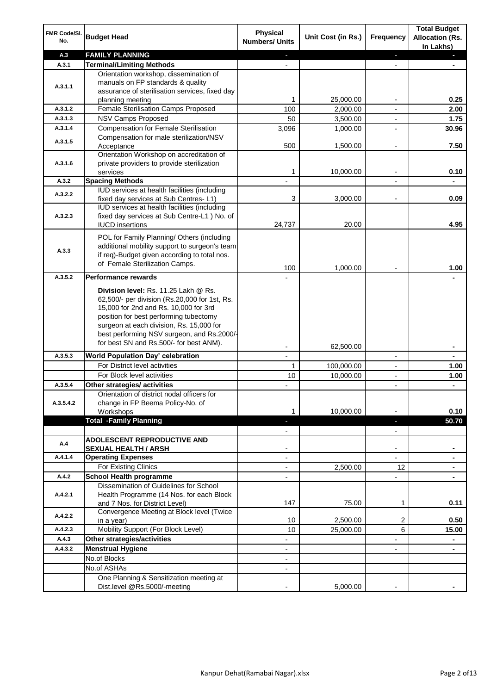| FMR Code/SI.<br>No. | <b>Budget Head</b>                                                                                                                                                                                                                                                 | Physical<br><b>Numbers/ Units</b>                    | Unit Cost (in Rs.)      | <b>Frequency</b>         | <b>Total Budget</b><br><b>Allocation (Rs.</b><br>In Lakhs) |
|---------------------|--------------------------------------------------------------------------------------------------------------------------------------------------------------------------------------------------------------------------------------------------------------------|------------------------------------------------------|-------------------------|--------------------------|------------------------------------------------------------|
| A.3                 | <b>FAMILY PLANNING</b>                                                                                                                                                                                                                                             | $\sim$                                               |                         | ÷.                       | a.                                                         |
| A.3.1               | <b>Terminal/Limiting Methods</b>                                                                                                                                                                                                                                   |                                                      |                         | $\blacksquare$           |                                                            |
|                     | Orientation workshop, dissemination of                                                                                                                                                                                                                             |                                                      |                         |                          |                                                            |
| A.3.1.1             | manuals on FP standards & quality                                                                                                                                                                                                                                  |                                                      |                         |                          |                                                            |
|                     | assurance of sterilisation services, fixed day                                                                                                                                                                                                                     | 1                                                    |                         | $\overline{\phantom{a}}$ | 0.25                                                       |
| A.3.1.2             | planning meeting<br>Female Sterilisation Camps Proposed                                                                                                                                                                                                            | 100                                                  | 25,000.00<br>2,000.00   | $\overline{\phantom{a}}$ | 2.00                                                       |
| A.3.1.3             | <b>NSV Camps Proposed</b>                                                                                                                                                                                                                                          | 50                                                   | 3,500.00                | $\overline{\phantom{a}}$ | 1.75                                                       |
| A.3.1.4             | <b>Compensation for Female Sterilisation</b>                                                                                                                                                                                                                       | 3,096                                                | 1,000.00                |                          | 30.96                                                      |
|                     | Compensation for male sterilization/NSV                                                                                                                                                                                                                            |                                                      |                         |                          |                                                            |
| A.3.1.5             | Acceptance                                                                                                                                                                                                                                                         | 500                                                  | 1,500.00                |                          | 7.50                                                       |
|                     | Orientation Workshop on accreditation of                                                                                                                                                                                                                           |                                                      |                         |                          |                                                            |
| A.3.1.6             | private providers to provide sterilization                                                                                                                                                                                                                         |                                                      |                         |                          |                                                            |
|                     | services                                                                                                                                                                                                                                                           | 1                                                    | 10,000.00               |                          | 0.10                                                       |
| A.3.2               | <b>Spacing Methods</b>                                                                                                                                                                                                                                             |                                                      |                         |                          |                                                            |
| A.3.2.2             | IUD services at health facilities (including                                                                                                                                                                                                                       |                                                      |                         |                          |                                                            |
|                     | fixed day services at Sub Centres-L1)<br>IUD services at health facilities (including                                                                                                                                                                              | 3                                                    | 3,000.00                | $\overline{\phantom{a}}$ | 0.09                                                       |
| A.3.2.3             | fixed day services at Sub Centre-L1 ) No. of                                                                                                                                                                                                                       |                                                      |                         |                          |                                                            |
|                     | <b>IUCD</b> insertions                                                                                                                                                                                                                                             | 24,737                                               | 20.00                   |                          | 4.95                                                       |
|                     |                                                                                                                                                                                                                                                                    |                                                      |                         |                          |                                                            |
|                     | POL for Family Planning/ Others (including                                                                                                                                                                                                                         |                                                      |                         |                          |                                                            |
| A.3.3               | additional mobility support to surgeon's team<br>if req)-Budget given according to total nos.                                                                                                                                                                      |                                                      |                         |                          |                                                            |
|                     | of Female Sterilization Camps.                                                                                                                                                                                                                                     |                                                      |                         |                          |                                                            |
|                     |                                                                                                                                                                                                                                                                    | 100                                                  | 1,000.00                |                          | 1.00                                                       |
| A.3.5.2             | <b>Performance rewards</b>                                                                                                                                                                                                                                         |                                                      |                         |                          |                                                            |
|                     | Division level: Rs. 11.25 Lakh @ Rs.<br>62,500/- per division (Rs.20,000 for 1st, Rs.<br>15,000 for 2nd and Rs. 10,000 for 3rd<br>position for best performing tubectomy<br>surgeon at each division, Rs. 15,000 for<br>best performing NSV surgeon, and Rs.2000/- |                                                      |                         |                          |                                                            |
|                     | for best SN and Rs.500/- for best ANM).                                                                                                                                                                                                                            |                                                      |                         |                          |                                                            |
| A.3.5.3             | <b>World Population Day' celebration</b>                                                                                                                                                                                                                           | $\overline{\phantom{a}}$<br>$\overline{\phantom{a}}$ | 62,500.00               | $\overline{\phantom{a}}$ | ٠                                                          |
|                     | For District level activities                                                                                                                                                                                                                                      | 1                                                    |                         |                          | ۰                                                          |
|                     | For Block level activities                                                                                                                                                                                                                                         | 10                                                   | 100,000.00<br>10,000.00 | $\overline{\phantom{a}}$ | 1.00<br>1.00                                               |
| A.3.5.4             | Other strategies/ activities                                                                                                                                                                                                                                       |                                                      |                         | $\overline{\phantom{a}}$ | ÷,                                                         |
|                     | Orientation of district nodal officers for                                                                                                                                                                                                                         |                                                      |                         |                          |                                                            |
| A.3.5.4.2           | change in FP Beema Policy-No. of                                                                                                                                                                                                                                   |                                                      |                         |                          |                                                            |
|                     | Workshops                                                                                                                                                                                                                                                          | 1                                                    | 10,000.00               |                          | 0.10                                                       |
|                     | <b>Total -Family Planning</b>                                                                                                                                                                                                                                      | a.                                                   |                         | P.                       | 50.70                                                      |
|                     |                                                                                                                                                                                                                                                                    | $\overline{\phantom{a}}$                             |                         | $\overline{\phantom{a}}$ |                                                            |
| A.4                 | <b>ADOLESCENT REPRODUCTIVE AND</b>                                                                                                                                                                                                                                 |                                                      |                         |                          |                                                            |
|                     | <b>SEXUAL HEALTH / ARSH</b>                                                                                                                                                                                                                                        |                                                      |                         | $\blacksquare$           |                                                            |
| A.4.1.4             | <b>Operating Expenses</b>                                                                                                                                                                                                                                          |                                                      |                         |                          |                                                            |
|                     | For Existing Clinics                                                                                                                                                                                                                                               |                                                      | 2,500.00                | 12                       |                                                            |
| A.4.2               | <b>School Health programme</b><br>Dissemination of Guidelines for School                                                                                                                                                                                           |                                                      |                         |                          |                                                            |
| A.4.2.1             | Health Programme (14 Nos. for each Block                                                                                                                                                                                                                           |                                                      |                         |                          |                                                            |
|                     | and 7 Nos. for District Level)                                                                                                                                                                                                                                     | 147                                                  | 75.00                   | 1                        | 0.11                                                       |
|                     | Convergence Meeting at Block level (Twice                                                                                                                                                                                                                          |                                                      |                         |                          |                                                            |
| A.4.2.2             | in a year)                                                                                                                                                                                                                                                         | 10                                                   | 2,500.00                | 2                        | 0.50                                                       |
| A.4.2.3             | Mobility Support (For Block Level)                                                                                                                                                                                                                                 | 10                                                   | 25,000.00               | 6                        | 15.00                                                      |
| A.4.3               | Other strategies/activities                                                                                                                                                                                                                                        | -                                                    |                         | -                        | ۰                                                          |
| A.4.3.2             | <b>Menstrual Hygiene</b>                                                                                                                                                                                                                                           | $\overline{\phantom{a}}$                             |                         | $\blacksquare$           | $\blacksquare$                                             |
|                     | No.of Blocks                                                                                                                                                                                                                                                       | $\overline{\phantom{a}}$                             |                         |                          |                                                            |
|                     | No.of ASHAs                                                                                                                                                                                                                                                        |                                                      |                         |                          |                                                            |
|                     | One Planning & Sensitization meeting at                                                                                                                                                                                                                            |                                                      |                         |                          |                                                            |
|                     | Dist.level @Rs.5000/-meeting                                                                                                                                                                                                                                       |                                                      | 5,000.00                |                          |                                                            |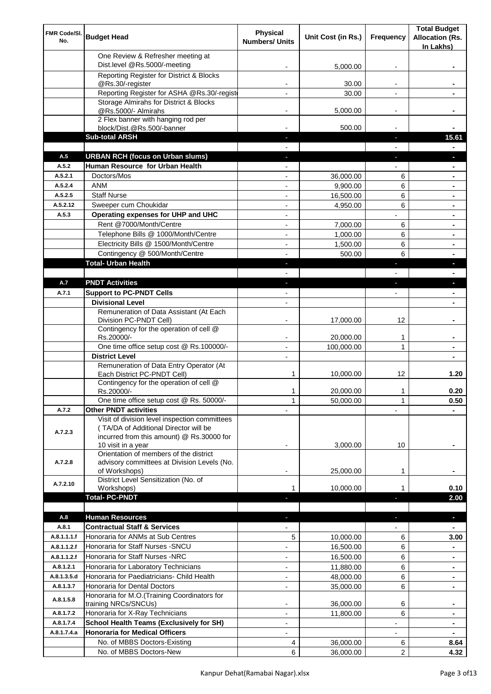| FMR Code/SI.<br>No.    | <b>Budget Head</b>                                                                                                                                        | Physical<br><b>Numbers/ Units</b> | Unit Cost (in Rs.)     | Frequency                | <b>Total Budget</b><br><b>Allocation (Rs.</b><br>In Lakhs) |
|------------------------|-----------------------------------------------------------------------------------------------------------------------------------------------------------|-----------------------------------|------------------------|--------------------------|------------------------------------------------------------|
|                        | One Review & Refresher meeting at<br>Dist.level @Rs.5000/-meeting                                                                                         |                                   | 5,000.00               |                          |                                                            |
|                        | Reporting Register for District & Blocks                                                                                                                  |                                   |                        |                          |                                                            |
|                        | @Rs.30/-register                                                                                                                                          |                                   | 30.00                  |                          |                                                            |
|                        | Reporting Register for ASHA @Rs.30/-regist                                                                                                                |                                   | 30.00                  | $\overline{a}$           |                                                            |
|                        | Storage Almirahs for District & Blocks<br>@Rs.5000/- Almirahs                                                                                             | $\blacksquare$                    | 5,000.00               | $\overline{\phantom{a}}$ |                                                            |
|                        | 2 Flex banner with hanging rod per                                                                                                                        |                                   |                        |                          |                                                            |
|                        | block/Dist.@Rs.500/-banner                                                                                                                                |                                   | 500.00                 |                          |                                                            |
|                        | <b>Sub-total ARSH</b>                                                                                                                                     |                                   |                        | a,                       | 15.61                                                      |
| A.5                    | <b>URBAN RCH (focus on Urban slums)</b>                                                                                                                   |                                   |                        |                          |                                                            |
| A.5.2                  | Human Resource for Urban Health                                                                                                                           |                                   |                        |                          |                                                            |
| A.5.2.1                | Doctors/Mos                                                                                                                                               |                                   | 36,000.00              | 6                        |                                                            |
| A.5.2.4                | <b>ANM</b>                                                                                                                                                |                                   | 9,900.00               | 6                        |                                                            |
| A.5.2.5<br>A.5.2.12    | <b>Staff Nurse</b>                                                                                                                                        |                                   | 16,500.00              | 6                        |                                                            |
| A.5.3                  | Sweeper cum Choukidar<br>Operating expenses for UHP and UHC                                                                                               |                                   | 4,950.00               | 6                        | $\blacksquare$                                             |
|                        | Rent @7000/Month/Centre                                                                                                                                   | $\blacksquare$                    | 7,000.00               | 6                        |                                                            |
|                        | Telephone Bills @ 1000/Month/Centre                                                                                                                       | $\blacksquare$                    | 1,000.00               | 6                        | ۰                                                          |
|                        | Electricity Bills @ 1500/Month/Centre                                                                                                                     | $\overline{a}$                    | 1,500.00               | 6                        | ۰                                                          |
|                        | Contingency @ 500/Month/Centre                                                                                                                            | $\overline{a}$                    | 500.00                 | 6                        | ۰                                                          |
|                        | <b>Total- Urban Health</b>                                                                                                                                | $\blacksquare$                    |                        | ×                        | L.                                                         |
|                        |                                                                                                                                                           |                                   |                        |                          |                                                            |
| A.7                    | <b>PNDT Activities</b>                                                                                                                                    | ٠                                 |                        | ×                        | ٠                                                          |
| A.7.1                  | <b>Support to PC-PNDT Cells</b>                                                                                                                           |                                   |                        | $\overline{\phantom{a}}$ | $\blacksquare$                                             |
|                        | <b>Divisional Level</b>                                                                                                                                   | $\blacksquare$                    |                        |                          | ٠                                                          |
|                        | Remuneration of Data Assistant (At Each<br>Division PC-PNDT Cell)                                                                                         |                                   | 17,000.00              | 12                       |                                                            |
|                        | Contingency for the operation of cell @<br>Rs.20000/-                                                                                                     |                                   | 20,000.00              | 1                        |                                                            |
|                        | One time office setup cost @ Rs.100000/-                                                                                                                  |                                   | 100,000.00             | 1                        |                                                            |
|                        | <b>District Level</b><br>Remuneration of Data Entry Operator (At                                                                                          |                                   |                        |                          |                                                            |
|                        | Each District PC-PNDT Cell)                                                                                                                               | 1                                 | 10,000.00              | 12                       | 1.20                                                       |
|                        | Contingency for the operation of cell @<br>Rs.20000/-<br>One time office setup cost @ Rs. 50000/-                                                         | 1                                 | 20,000.00              | 1                        | 0.20                                                       |
| A.7.2                  | <b>Other PNDT activities</b>                                                                                                                              | 1                                 | 50,000.00              | 1                        | 0.50                                                       |
| A.7.2.3                | Visit of division level inspection committees<br>(TA/DA of Additional Director will be<br>incurred from this amount) @ Rs.30000 for<br>10 visit in a year |                                   | 3,000.00               | 10                       |                                                            |
| A.7.2.8                | Orientation of members of the district<br>advisory committees at Division Levels (No.<br>of Workshops)                                                    | -                                 | 25,000.00              | 1                        |                                                            |
| A.7.2.10               | District Level Sensitization (No. of<br>Workshops)                                                                                                        | 1                                 | 10,000.00              |                          | 0.10                                                       |
|                        | <b>Total- PC-PNDT</b>                                                                                                                                     |                                   |                        |                          | 2.00                                                       |
|                        |                                                                                                                                                           |                                   |                        |                          |                                                            |
| A.8                    | <b>Human Resources</b>                                                                                                                                    |                                   |                        | J,                       | ×.                                                         |
| A.8.1                  | <b>Contractual Staff &amp; Services</b>                                                                                                                   |                                   |                        |                          |                                                            |
| A.8.1.1.1.f            | Honoraria for ANMs at Sub Centres                                                                                                                         | 5                                 | 10,000.00              | 6                        | 3.00                                                       |
| A.8.1.1.2.f            | Honoraria for Staff Nurses - SNCU                                                                                                                         |                                   | 16,500.00              | 6                        |                                                            |
| A.8.1.1.2.f            | Honoraria for Staff Nurses -NRC                                                                                                                           |                                   | 16,500.00              | 6                        | $\blacksquare$                                             |
| A.8.1.2.1              | Honoraria for Laboratory Technicians                                                                                                                      |                                   | 11,880.00              | 6                        | ۰                                                          |
| A.8.1.3.5.d            | Honoraria for Paediatricians- Child Health<br>Honoraria for Dental Doctors                                                                                | $\overline{a}$                    | 48,000.00              | 6                        |                                                            |
| A.8.1.3.7<br>A.8.1.5.8 | Honoraria for M.O.(Training Coordinators for                                                                                                              |                                   | 35,000.00              | 6                        |                                                            |
| A.8.1.7.2              | training NRCs/SNCUs)<br>Honoraria for X-Ray Technicians                                                                                                   |                                   | 36,000.00<br>11,800.00 | 6<br>6                   | ٠                                                          |
| A.8.1.7.4              | <b>School Health Teams (Exclusively for SH)</b>                                                                                                           |                                   |                        |                          | ۰                                                          |
| A.8.1.7.4.a            | <b>Honoraria for Medical Officers</b>                                                                                                                     | $\overline{a}$                    |                        |                          | ٠                                                          |
|                        | No. of MBBS Doctors-Existing                                                                                                                              | 4                                 | 36,000.00              | 6                        | 8.64                                                       |
|                        | No. of MBBS Doctors-New                                                                                                                                   | 6                                 | 36,000.00              | 2                        | 4.32                                                       |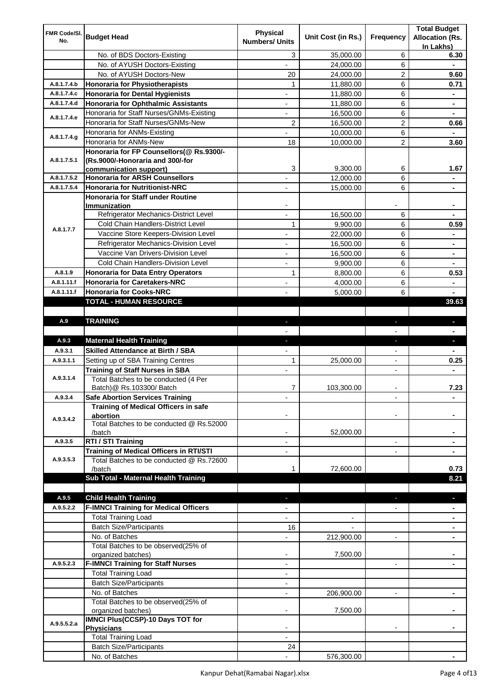| FMR Code/SI.<br>No.        | <b>Budget Head</b>                                                                | <b>Physical</b><br><b>Numbers/ Units</b> | Unit Cost (in Rs.) | Frequency                | <b>Total Budget</b><br><b>Allocation (Rs.</b><br>In Lakhs) |
|----------------------------|-----------------------------------------------------------------------------------|------------------------------------------|--------------------|--------------------------|------------------------------------------------------------|
|                            | No. of BDS Doctors-Existing                                                       | 3                                        | 35,000.00          | 6                        | 6.30                                                       |
|                            | No. of AYUSH Doctors-Existing                                                     |                                          | 24,000.00          | 6                        |                                                            |
|                            | No. of AYUSH Doctors-New                                                          | 20                                       | 24,000.00          | 2                        | 9.60                                                       |
| A.8.1.7.4.b                | <b>Honoraria for Physiotherapists</b>                                             | 1                                        | 11,880.00          | 6                        | 0.71                                                       |
| A.8.1.7.4.c                | <b>Honoraria for Dental Hygienists</b>                                            |                                          | 11,880.00          | 6                        |                                                            |
| A.8.1.7.4.d                | <b>Honoraria for Ophthalmic Assistants</b>                                        |                                          | 11,880.00          | 6                        | ۰                                                          |
| A.8.1.7.4.e                | Honoraria for Staff Nurses/GNMs-Existing                                          |                                          | 16,500.00          | 6                        |                                                            |
|                            | Honoraria for Staff Nurses/GNMs-New                                               | $\overline{2}$                           | 16,500.00          | 2                        | 0.66                                                       |
| A.8.1.7.4.g                | Honoraria for ANMs-Existing                                                       |                                          | 10,000.00          | 6                        |                                                            |
|                            | Honoraria for ANMs-New                                                            | 18                                       | 10,000.00          | $\overline{2}$           | 3.60                                                       |
|                            | Honoraria for FP Counsellors(@ Rs.9300/-                                          |                                          |                    |                          |                                                            |
| A.8.1.7.5.1                | (Rs.9000/-Honoraria and 300/-for                                                  |                                          |                    |                          |                                                            |
|                            | communication support)                                                            | 3                                        | 9,300.00           | 6                        | 1.67                                                       |
| A.8.1.7.5.2<br>A.8.1.7.5.4 | <b>Honoraria for ARSH Counsellors</b>                                             |                                          | 12,000.00          | 6                        |                                                            |
|                            | <b>Honoraria for Nutritionist-NRC</b><br><b>Honoraria for Staff under Routine</b> |                                          | 15,000.00          | 6                        |                                                            |
|                            | <b>Immunization</b>                                                               |                                          |                    |                          |                                                            |
|                            | Refrigerator Mechanics-District Level                                             | $\overline{\phantom{a}}$                 | 16,500.00          | 6                        |                                                            |
|                            | Cold Chain Handlers-District Level                                                | 1                                        | 9,900.00           | 6                        | 0.59                                                       |
| A.8.1.7.7                  | Vaccine Store Keepers-Division Level                                              | $\blacksquare$                           | 22,000.00          | 6                        | $\blacksquare$                                             |
|                            | Refrigerator Mechanics-Division Level                                             | $\overline{\phantom{a}}$                 | 16,500.00          | 6                        | ٠                                                          |
|                            | Vaccine Van Drivers-Division Level                                                | $\overline{\phantom{a}}$                 | 16,500.00          | 6                        | $\blacksquare$                                             |
|                            | Cold Chain Handlers-Division Level                                                | $\overline{\phantom{a}}$                 | 9,900.00           | 6                        | $\blacksquare$                                             |
| A.8.1.9                    | <b>Honoraria for Data Entry Operators</b>                                         | 1                                        | 8,800.00           | 6                        | 0.53                                                       |
| A.8.1.11.f                 | <b>Honoraria for Caretakers-NRC</b>                                               | $\overline{\phantom{a}}$                 | 4,000.00           | 6                        | ۰                                                          |
| A.8.1.11.f                 | <b>Honoraria for Cooks-NRC</b>                                                    |                                          | 5,000.00           | 6                        |                                                            |
|                            | TOTAL - HUMAN RESOURCE                                                            |                                          |                    |                          | 39.63                                                      |
|                            |                                                                                   |                                          |                    |                          |                                                            |
| A.9                        | <b>TRAINING</b>                                                                   | $\overline{\phantom{a}}$                 |                    |                          | a,                                                         |
|                            |                                                                                   |                                          |                    |                          |                                                            |
| A.9.3                      | <b>Maternal Health Training</b>                                                   |                                          |                    |                          | L.                                                         |
| A.9.3.1                    | <b>Skilled Attendance at Birth / SBA</b>                                          |                                          |                    |                          |                                                            |
| A.9.3.1.1                  | Setting up of SBA Training Centres                                                | 1                                        | 25,000.00          |                          | 0.25                                                       |
| A.9.3.1.4                  | <b>Training of Staff Nurses in SBA</b><br>Total Batches to be conducted (4 Per    |                                          |                    |                          |                                                            |
|                            | Batch)@ Rs.103300/ Batch                                                          | 7                                        | 103,300.00         |                          | 7.23                                                       |
| A.9.3.4                    | <b>Safe Abortion Services Training</b>                                            |                                          |                    | $\overline{\phantom{a}}$ | ۰                                                          |
|                            | Training of Medical Officers in safe                                              |                                          |                    |                          |                                                            |
| A.9.3.4.2                  | abortion                                                                          |                                          |                    |                          |                                                            |
|                            | Total Batches to be conducted @ Rs.52000                                          |                                          |                    |                          |                                                            |
|                            | /batch                                                                            |                                          | 52,000.00          |                          |                                                            |
| A.9.3.5                    | RTI / STI Training                                                                | $\overline{a}$                           |                    | $\overline{\phantom{a}}$ |                                                            |
| A.9.3.5.3                  | Training of Medical Officers in RTI/STI                                           | $\overline{a}$                           |                    | $\overline{\phantom{a}}$ | ٠                                                          |
|                            | Total Batches to be conducted @ Rs.72600<br>/batch                                | 1                                        | 72,600.00          |                          | 0.73                                                       |
|                            | Sub Total - Maternal Health Training                                              |                                          |                    |                          | 8.21                                                       |
|                            |                                                                                   |                                          |                    |                          |                                                            |
| A.9.5                      | <b>Child Health Training</b>                                                      |                                          |                    |                          |                                                            |
| A.9.5.2.2                  | <b>F-IMNCI Training for Medical Officers</b>                                      |                                          |                    |                          |                                                            |
|                            | <b>Total Training Load</b>                                                        |                                          |                    |                          |                                                            |
|                            | <b>Batch Size/Participants</b>                                                    | 16                                       |                    |                          |                                                            |
|                            | No. of Batches                                                                    |                                          | 212,900.00         |                          |                                                            |
|                            | Total Batches to be observed(25% of                                               |                                          |                    |                          |                                                            |
|                            | organized batches)                                                                |                                          | 7,500.00           |                          |                                                            |
| A.9.5.2.3                  | <b>F-IMNCI Training for Staff Nurses</b>                                          |                                          |                    | $\overline{\phantom{a}}$ |                                                            |
|                            | <b>Total Training Load</b>                                                        | $\blacksquare$                           |                    |                          |                                                            |
|                            | <b>Batch Size/Participants</b>                                                    |                                          |                    |                          |                                                            |
|                            | No. of Batches                                                                    |                                          | 206,900.00         |                          |                                                            |
|                            | Total Batches to be observed(25% of                                               |                                          | 7,500.00           |                          |                                                            |
|                            | organized batches)<br><b>IMNCI Plus(CCSP)-10 Days TOT for</b>                     |                                          |                    |                          |                                                            |
| A.9.5.5.2.a                | <b>Physicians</b>                                                                 |                                          |                    |                          |                                                            |
|                            | <b>Total Training Load</b>                                                        |                                          |                    |                          |                                                            |
|                            | <b>Batch Size/Participants</b>                                                    | 24                                       |                    |                          |                                                            |
|                            | No. of Batches                                                                    |                                          | 576,300.00         |                          |                                                            |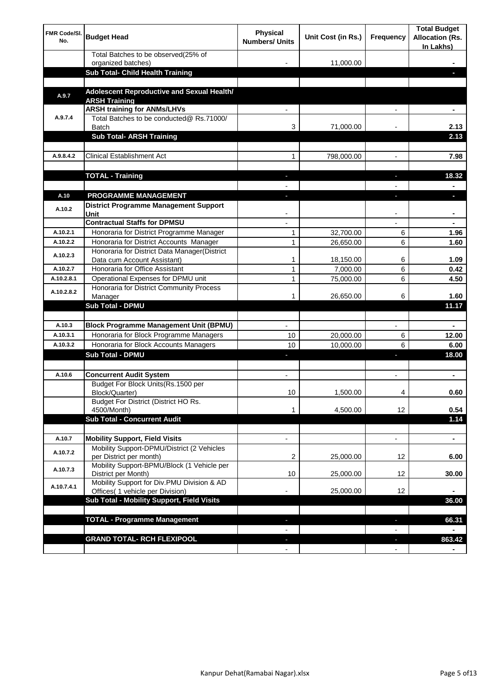| <b>FMR Code/SI.</b><br>No. | <b>Budget Head</b>                                                             | Physical<br><b>Numbers/ Units</b> | Unit Cost (in Rs.) | Frequency                | <b>Total Budget</b><br><b>Allocation (Rs.</b><br>In Lakhs) |
|----------------------------|--------------------------------------------------------------------------------|-----------------------------------|--------------------|--------------------------|------------------------------------------------------------|
|                            | Total Batches to be observed(25% of<br>organized batches)                      |                                   | 11,000.00          |                          |                                                            |
|                            | Sub Total- Child Health Training                                               |                                   |                    |                          |                                                            |
|                            |                                                                                |                                   |                    |                          |                                                            |
| A.9.7                      | Adolescent Reproductive and Sexual Health/<br><b>ARSH Training</b>             |                                   |                    |                          |                                                            |
|                            | <b>ARSH training for ANMs/LHVs</b>                                             |                                   |                    |                          |                                                            |
| A.9.7.4                    | Total Batches to be conducted@ Rs.71000/<br>Batch                              | 3                                 | 71,000.00          |                          | 2.13                                                       |
|                            | <b>Sub Total- ARSH Training</b>                                                |                                   |                    |                          | 2.13                                                       |
|                            |                                                                                |                                   |                    |                          |                                                            |
| A.9.8.4.2                  | <b>Clinical Establishment Act</b>                                              | 1                                 | 798,000.00         |                          | 7.98                                                       |
|                            |                                                                                |                                   |                    |                          |                                                            |
|                            | <b>TOTAL - Training</b>                                                        |                                   |                    |                          | 18.32                                                      |
| A.10                       | <b>PROGRAMME MANAGEMENT</b>                                                    |                                   |                    |                          |                                                            |
| A.10.2                     | <b>District Programme Management Support</b><br>Unit                           |                                   |                    |                          |                                                            |
|                            | <b>Contractual Staffs for DPMSU</b>                                            |                                   |                    |                          | ٠                                                          |
| A.10.2.1                   | Honoraria for District Programme Manager                                       | 1                                 | 32,700.00          | 6                        | 1.96                                                       |
| A.10.2.2                   | Honoraria for District Accounts Manager                                        | 1                                 | 26,650.00          | 6                        | 1.60                                                       |
| A.10.2.3                   | Honoraria for District Data Manager(District<br>Data cum Account Assistant)    | 1                                 | 18,150.00          | 6                        | 1.09                                                       |
| A.10.2.7                   | Honoraria for Office Assistant                                                 | 1                                 | 7,000.00           | 6                        | 0.42                                                       |
| A.10.2.8.1                 | Operational Expenses for DPMU unit                                             | 1                                 | 75,000.00          | 6                        | 4.50                                                       |
| A.10.2.8.2                 | Honoraria for District Community Process                                       |                                   |                    |                          |                                                            |
|                            | Manager<br><b>Sub Total - DPMU</b>                                             | 1                                 | 26,650.00          | 6                        | 1.60<br>11.17                                              |
|                            |                                                                                |                                   |                    |                          |                                                            |
| A.10.3                     | <b>Block Programme Management Unit (BPMU)</b>                                  |                                   |                    | $\overline{\phantom{a}}$ | ٠                                                          |
| A.10.3.1                   | Honoraria for Block Programme Managers                                         | 10                                | 20,000.00          | 6                        | 12.00                                                      |
| A.10.3.2                   | Honoraria for Block Accounts Managers                                          | 10                                | 10,000.00          | 6                        | 6.00                                                       |
|                            | <b>Sub Total - DPMU</b>                                                        | ٠                                 |                    | r                        | 18.00                                                      |
|                            |                                                                                |                                   |                    |                          |                                                            |
| A.10.6                     | <b>Concurrent Audit System</b><br>Budget For Block Units(Rs.1500 per           |                                   |                    |                          | ۰                                                          |
|                            | Block/Quarter)                                                                 | 10                                | 1,500.00           |                          | 0.60                                                       |
|                            | Budget For District (District HO Rs.<br>4500/Month)                            | 1                                 | 4,500.00           | 12                       | 0.54                                                       |
|                            | <b>Sub Total - Concurrent Audit</b>                                            |                                   |                    |                          | 1.14                                                       |
|                            |                                                                                |                                   |                    |                          |                                                            |
| A.10.7                     | <b>Mobility Support, Field Visits</b>                                          |                                   |                    | $\overline{\phantom{a}}$ | $\blacksquare$                                             |
| A.10.7.2                   | Mobility Support-DPMU/District (2 Vehicles<br>per District per month)          | 2                                 | 25,000.00          | 12                       | 6.00                                                       |
| A.10.7.3                   | Mobility Support-BPMU/Block (1 Vehicle per<br>District per Month)              | 10                                | 25,000.00          | 12                       | 30.00                                                      |
| A.10.7.4.1                 | Mobility Support for Div.PMU Division & AD<br>Offices( 1 vehicle per Division) |                                   | 25,000.00          | 12                       |                                                            |
|                            | Sub Total - Mobility Support, Field Visits                                     |                                   |                    |                          | 36.00                                                      |
|                            |                                                                                |                                   |                    |                          |                                                            |
|                            | <b>TOTAL - Programme Management</b>                                            |                                   |                    | ı                        | 66.31                                                      |
|                            |                                                                                |                                   |                    |                          |                                                            |
|                            | <b>GRAND TOTAL- RCH FLEXIPOOL</b>                                              | E.                                |                    | J,                       | 863.42                                                     |
|                            |                                                                                | $\blacksquare$                    |                    | $\overline{\phantom{a}}$ |                                                            |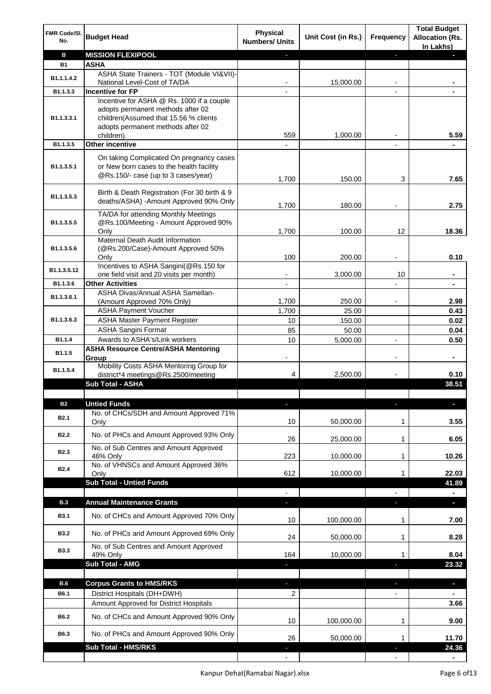| FMR Code/SI.<br>No. | <b>Budget Head</b>                                                                                                          | <b>Physical</b><br><b>Numbers/ Units</b> | Unit Cost (in Rs.) | Frequency                | <b>Total Budget</b><br><b>Allocation (Rs.</b><br>In Lakhs) |
|---------------------|-----------------------------------------------------------------------------------------------------------------------------|------------------------------------------|--------------------|--------------------------|------------------------------------------------------------|
| в                   | <b>MISSION FLEXIPOOL</b>                                                                                                    |                                          |                    | J,                       |                                                            |
| <b>B1</b>           | <b>ASHA</b>                                                                                                                 |                                          |                    |                          |                                                            |
| B1.1.1.4.2          | ASHA State Trainers - TOT (Module VI&VII)-                                                                                  |                                          |                    |                          |                                                            |
|                     | National Level-Cost of TA/DA                                                                                                |                                          | 15,000.00          |                          |                                                            |
| B1.1.3.3            | <b>Incentive for FP</b><br>Incentive for ASHA @ Rs. 1000 if a couple                                                        |                                          |                    |                          |                                                            |
| B1.1.3.3.1          | adopts permanent methods after 02<br>children(Assumed that 15.56 % clients<br>adopts permanent methods after 02             |                                          |                    |                          |                                                            |
|                     | children).                                                                                                                  | 559                                      | 1,000.00           |                          | 5.59                                                       |
| B1.1.3.5            | <b>Other incentive</b>                                                                                                      |                                          |                    | $\blacksquare$           |                                                            |
| B1.1.3.5.1          | On taking Complicated On pregnancy cases<br>or New born cases to the health facility<br>@Rs.150/- case (up to 3 cases/year) | 1,700                                    | 150.00             | 3                        | 7.65                                                       |
| B1.1.3.5.3          | Birth & Death Registration (For 30 birth & 9<br>deaths/ASHA) - Amount Approved 90% Only                                     | 1,700                                    | 180.00             |                          | 2.75                                                       |
|                     | TA/DA for attending Monthly Meetings                                                                                        |                                          |                    |                          |                                                            |
| B1.1.3.5.5          | @Rs.100/Meeting - Amount Approved 90%                                                                                       |                                          |                    |                          |                                                            |
|                     | Only                                                                                                                        | 1,700                                    | 100.00             | 12                       | 18.36                                                      |
|                     | Maternal Death Audit Information                                                                                            |                                          |                    |                          |                                                            |
| B1.1.3.5.6          | (@Rs.200/Case)-Amount Approved 50%<br>Only                                                                                  | 100                                      | 200.00             |                          | 0.10                                                       |
|                     | Incentives to ASHA Sangini(@Rs.150 for                                                                                      |                                          |                    |                          |                                                            |
| B1.1.3.5.12         | one field visit and 20 visits per month)                                                                                    |                                          | 3,000.00           | 10                       | ä,                                                         |
| B1.1.3.6            | <b>Other Activities</b>                                                                                                     | $\overline{\phantom{a}}$                 |                    | $\overline{a}$           | $\blacksquare$                                             |
| B1.1.3.6.1          | ASHA Divas/Annual ASHA Samellan-                                                                                            |                                          |                    |                          |                                                            |
|                     | (Amount Approved 70% Only)                                                                                                  | 1,700                                    | 250.00             |                          | 2.98                                                       |
|                     | <b>ASHA Payment Voucher</b>                                                                                                 | 1,700                                    | 25.00              |                          | 0.43                                                       |
| B1.1.3.6.3          | <b>ASHA Master Payment Register</b>                                                                                         | 10                                       | 150.00             |                          | 0.02                                                       |
|                     | <b>ASHA Sangini Format</b>                                                                                                  | 85                                       | 50.00              |                          | 0.04                                                       |
| B1.1.4              | Awards to ASHA's/Link workers                                                                                               | 10                                       | 5,000.00           | $\overline{a}$           | 0.50                                                       |
| B1.1.5              | <b>ASHA Resource Centre/ASHA Mentoring</b><br>Group<br>Mobility Costs ASHA Mentoring Group for                              | -                                        |                    | $\overline{\phantom{a}}$ | ۰                                                          |
| B1.1.5.4            | district*4 meetings@Rs.2500/meeting                                                                                         | 4                                        | 2,500.00           |                          | 0.10                                                       |
|                     | <b>Sub Total - ASHA</b>                                                                                                     |                                          |                    |                          | 38.51                                                      |
|                     |                                                                                                                             |                                          |                    |                          |                                                            |
| <b>B2</b>           | <b>Untied Funds</b>                                                                                                         |                                          |                    | п                        |                                                            |
| B <sub>2.1</sub>    | No. of CHCs/SDH and Amount Approved 71%<br>Only                                                                             | 10                                       | 50,000.00          | 1                        | 3.55                                                       |
| <b>B2.2</b>         | No. of PHCs and Amount Approved 93% Only                                                                                    | 26                                       | 25,000.00          | 1                        | 6.05                                                       |
|                     | No. of Sub Centres and Amount Approved                                                                                      |                                          |                    |                          |                                                            |
| B <sub>2.3</sub>    | 46% Only                                                                                                                    | 223                                      | 10,000.00          | 1                        | 10.26                                                      |
| <b>B2.4</b>         | No. of VHNSCs and Amount Approved 36%                                                                                       |                                          |                    |                          |                                                            |
|                     | Only                                                                                                                        | 612                                      | 10,000.00          | 1                        | 22.03                                                      |
|                     | <b>Sub Total - Untied Funds</b>                                                                                             |                                          |                    |                          | 41.89                                                      |
|                     |                                                                                                                             |                                          |                    |                          |                                                            |
| <b>B.3</b>          | <b>Annual Maintenance Grants</b>                                                                                            | J,                                       |                    | T                        | $\overline{\phantom{a}}$                                   |
| <b>B3.1</b>         | No. of CHCs and Amount Approved 70% Only                                                                                    | 10                                       | 100,000.00         | 1                        | 7.00                                                       |
| <b>B3.2</b>         | No. of PHCs and Amount Approved 69% Only                                                                                    | 24                                       | 50,000.00          | 1                        | 8.28                                                       |
| <b>B3.3</b>         | No. of Sub Centres and Amount Approved<br>49% Only                                                                          | 164                                      | 10,000.00          | 1                        | 8.04                                                       |
|                     | <b>Sub Total - AMG</b>                                                                                                      |                                          |                    | п                        | 23.32                                                      |
|                     |                                                                                                                             |                                          |                    |                          |                                                            |
| <b>B.6</b>          | <b>Corpus Grants to HMS/RKS</b>                                                                                             | J,                                       |                    | ı                        | $\overline{\phantom{a}}$                                   |
| B6.1                | District Hospitals (DH+DWH)                                                                                                 | 2                                        |                    | $\overline{\phantom{0}}$ |                                                            |
|                     | Amount Approved for District Hospitals                                                                                      |                                          |                    |                          | 3.66                                                       |
| B6.2                | No. of CHCs and Amount Approved 90% Only                                                                                    | 10                                       | 100,000.00         | 1                        | 9.00                                                       |
| B6.3                | No. of PHCs and Amount Approved 90% Only<br><b>Sub Total - HMS/RKS</b>                                                      | 26                                       | 50,000.00          | 1                        | 11.70<br>24.36                                             |
|                     |                                                                                                                             |                                          |                    |                          |                                                            |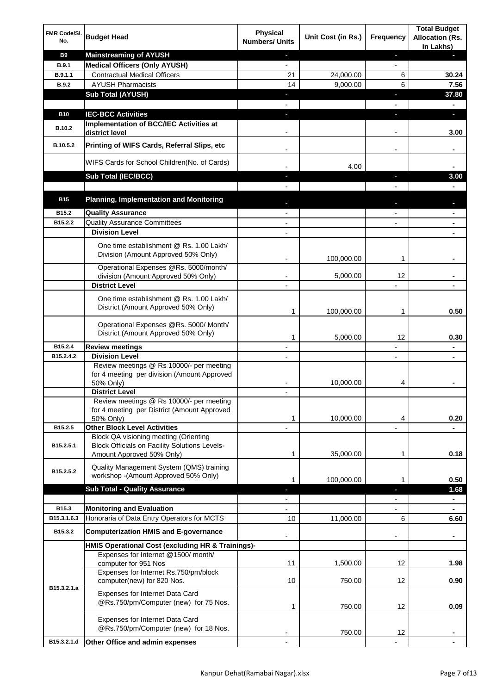| FMR Code/SI.<br>No. | <b>Budget Head</b>                                                                                                         | <b>Physical</b><br><b>Numbers/ Units</b> | Unit Cost (in Rs.) | Frequency                | <b>Total Budget</b><br><b>Allocation (Rs.</b><br>In Lakhs) |
|---------------------|----------------------------------------------------------------------------------------------------------------------------|------------------------------------------|--------------------|--------------------------|------------------------------------------------------------|
| <b>B9</b>           | <b>Mainstreaming of AYUSH</b>                                                                                              | ٠                                        |                    | ٠                        | ٠                                                          |
| <b>B.9.1</b>        | <b>Medical Officers (Only AYUSH)</b>                                                                                       | $\overline{\phantom{a}}$                 |                    | $\overline{\phantom{a}}$ |                                                            |
| B.9.1.1             | <b>Contractual Medical Officers</b>                                                                                        | 21                                       | 24,000.00          | 6                        | 30.24                                                      |
| <b>B.9.2</b>        | <b>AYUSH Pharmacists</b>                                                                                                   | 14                                       | 9,000.00           | 6                        | 7.56                                                       |
|                     | <b>Sub Total (AYUSH)</b>                                                                                                   | ٠                                        |                    | J,                       | 37.80                                                      |
| <b>B10</b>          | <b>IEC-BCC Activities</b>                                                                                                  | J,                                       |                    | J,                       | ٠                                                          |
|                     | Implementation of BCC/IEC Activities at                                                                                    |                                          |                    |                          |                                                            |
| <b>B.10.2</b>       | district level                                                                                                             |                                          |                    |                          | 3.00                                                       |
| B.10.5.2            | Printing of WIFS Cards, Referral Slips, etc                                                                                |                                          |                    | $\overline{\phantom{a}}$ | ٠                                                          |
|                     | WIFS Cards for School Children(No. of Cards)                                                                               |                                          | 4.00               |                          |                                                            |
|                     | Sub Total (IEC/BCC)                                                                                                        |                                          |                    |                          | 3.00                                                       |
|                     |                                                                                                                            |                                          |                    |                          |                                                            |
| <b>B15</b>          | <b>Planning, Implementation and Monitoring</b>                                                                             |                                          |                    |                          |                                                            |
| B15.2               | <b>Quality Assurance</b>                                                                                                   |                                          |                    |                          | ۰                                                          |
| B15.2.2             | <b>Quality Assurance Committees</b>                                                                                        |                                          |                    |                          | ۰                                                          |
|                     | <b>Division Level</b>                                                                                                      |                                          |                    |                          |                                                            |
|                     | One time establishment @ Rs. 1.00 Lakh/<br>Division (Amount Approved 50% Only)                                             |                                          | 100,000.00         | 1                        |                                                            |
|                     | Operational Expenses @Rs. 5000/month/                                                                                      |                                          |                    |                          |                                                            |
|                     | division (Amount Approved 50% Only)                                                                                        |                                          | 5,000.00           | 12                       |                                                            |
|                     | <b>District Level</b>                                                                                                      |                                          |                    |                          |                                                            |
|                     | One time establishment @ Rs. 1.00 Lakh/<br>District (Amount Approved 50% Only)                                             | 1                                        | 100,000.00         | 1                        | 0.50                                                       |
|                     | Operational Expenses @Rs. 5000/ Month/<br>District (Amount Approved 50% Only)                                              | 1                                        | 5,000.00           | 12                       | 0.30                                                       |
| B15.2.4             | <b>Review meetings</b>                                                                                                     | $\overline{a}$                           |                    | -                        | ۰                                                          |
| B15.2.4.2           | <b>Division Level</b>                                                                                                      |                                          |                    | $\overline{\phantom{a}}$ | ۰                                                          |
|                     | Review meetings @ Rs 10000/- per meeting<br>for 4 meeting per division (Amount Approved<br>50% Only)                       |                                          | 10,000.00          | 4                        |                                                            |
|                     | <b>District Level</b>                                                                                                      |                                          |                    |                          |                                                            |
|                     | Review meetings @ Rs 10000/- per meeting<br>for 4 meeting per District (Amount Approved<br>50% Only)                       | 1                                        | 10,000.00          | 4                        | 0.20                                                       |
| B15.2.5             | <b>Other Block Level Activities</b>                                                                                        |                                          |                    |                          |                                                            |
| B15.2.5.1           | Block QA visioning meeting (Orienting<br><b>Block Officials on Facility Solutions Levels-</b><br>Amount Approved 50% Only) | 1                                        | 35,000.00          | 1                        | 0.18                                                       |
| B15.2.5.2           | Quality Management System (QMS) training                                                                                   |                                          |                    |                          |                                                            |
|                     | workshop - (Amount Approved 50% Only)<br><b>Sub Total - Quality Assurance</b>                                              | 1                                        | 100,000.00         | 1<br>r                   | 0.50<br>1.68                                               |
|                     |                                                                                                                            |                                          |                    |                          | $\blacksquare$                                             |
| B15.3               | <b>Monitoring and Evaluation</b>                                                                                           |                                          |                    |                          |                                                            |
| B15.3.1.6.3         | Honoraria of Data Entry Operators for MCTS                                                                                 | 10                                       | 11,000.00          | 6                        | 6.60                                                       |
| B15.3.2             | <b>Computerization HMIS and E-governance</b>                                                                               |                                          |                    |                          | ä,                                                         |
|                     | HMIS Operational Cost (excluding HR & Trainings)-                                                                          |                                          |                    |                          |                                                            |
|                     | Expenses for Internet @1500/month/<br>computer for 951 Nos                                                                 | 11                                       | 1,500.00           | 12                       | 1.98                                                       |
|                     | Expenses for Internet Rs.750/pm/block<br>computer(new) for 820 Nos.                                                        | 10                                       | 750.00             | 12                       | 0.90                                                       |
| B15.3.2.1.a         | Expenses for Internet Data Card<br>@Rs.750/pm/Computer (new) for 75 Nos.                                                   | 1                                        | 750.00             | 12                       | 0.09                                                       |
|                     | Expenses for Internet Data Card<br>@Rs.750/pm/Computer (new) for 18 Nos.                                                   |                                          | 750.00             | 12                       |                                                            |
| B15.3.2.1.d         | Other Office and admin expenses                                                                                            |                                          |                    |                          |                                                            |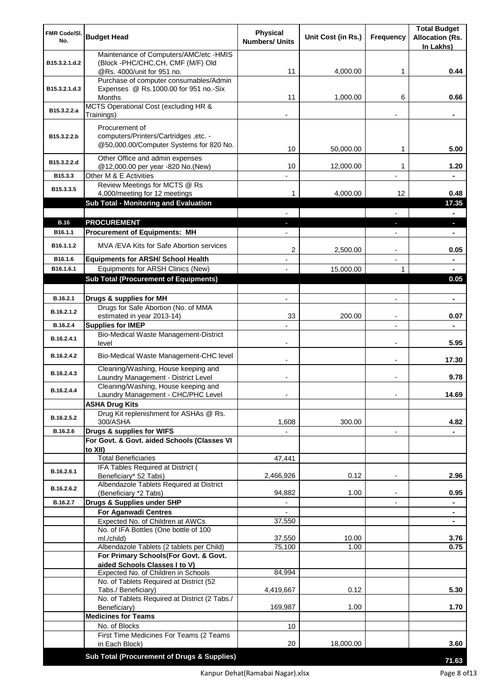| FMR Code/SI.<br>No.  | <b>Budget Head</b>                                                                                                | Physical<br><b>Numbers/ Units</b> | Unit Cost (in Rs.) | Frequency                     | <b>Total Budget</b><br><b>Allocation (Rs.</b><br>In Lakhs) |
|----------------------|-------------------------------------------------------------------------------------------------------------------|-----------------------------------|--------------------|-------------------------------|------------------------------------------------------------|
| B15.3.2.1.d.2        | Maintenance of Computers/AMC/etc -HMIS<br>(Block -PHC/CHC, CH, CMF (M/F) Old                                      |                                   |                    |                               |                                                            |
|                      | @Rs. 4000/unit for 951 no.<br>Purchase of computer consumables/Admin                                              | 11                                | 4,000.00           | 1                             | 0.44                                                       |
| B15.3.2.1.d.3        | Expenses @ Rs.1000.00 for 951 no.-Six                                                                             |                                   |                    |                               |                                                            |
|                      | Months<br>MCTS Operational Cost (excluding HR &                                                                   | 11                                | 1,000.00           | 6                             | 0.66                                                       |
| B15.3.2.2.a          | Trainings)                                                                                                        |                                   |                    |                               |                                                            |
|                      | Procurement of                                                                                                    |                                   |                    |                               |                                                            |
| B15.3.2.2.b          | computers/Printers/Cartridges, etc. -<br>@50,000.00/Computer Systems for 820 No.                                  | 10                                | 50,000.00          | 1                             | 5.00                                                       |
| B15.3.2.2.d          | Other Office and admin expenses                                                                                   |                                   |                    |                               |                                                            |
| B15.3.3              | @12,000.00 per year -820 No.(New)<br>Other M & E Activities                                                       | 10                                | 12,000.00          | 1                             | 1.20                                                       |
|                      | Review Meetings for MCTS @ Rs                                                                                     |                                   |                    |                               |                                                            |
| B15.3.3.5            | 4,000/meeting for 12 meetings                                                                                     | 1                                 | 4,000.00           | 12                            | 0.48                                                       |
|                      | <b>Sub Total - Monitoring and Evaluation</b>                                                                      |                                   |                    |                               | 17.35                                                      |
| <b>B.16</b>          | <b>PROCUREMENT</b>                                                                                                |                                   |                    |                               | $\blacksquare$<br>٠                                        |
| B16.1.1              | <b>Procurement of Equipments: MH</b>                                                                              |                                   |                    |                               | ٠                                                          |
| B16.1.1.2            | MVA / EVA Kits for Safe Abortion services                                                                         |                                   |                    |                               |                                                            |
|                      |                                                                                                                   | 2                                 | 2,500.00           | $\blacksquare$                | 0.05                                                       |
| B16.1.6<br>B16.1.6.1 | <b>Equipments for ARSH/ School Health</b><br>Equipments for ARSH Clinics (New)                                    |                                   | 15,000.00          | $\overline{\phantom{a}}$<br>1 | $\blacksquare$<br>٠                                        |
|                      | <b>Sub Total (Procurement of Equipments)</b>                                                                      |                                   |                    |                               | 0.05                                                       |
|                      |                                                                                                                   |                                   |                    |                               |                                                            |
| B.16.2.1             | Drugs & supplies for MH                                                                                           | $\blacksquare$                    |                    | $\overline{a}$                | $\blacksquare$                                             |
| B.16.2.1.2           | Drugs for Safe Abortion (No. of MMA<br>estimated in year 2013-14)                                                 | 33                                | 200.00             | $\blacksquare$                | 0.07                                                       |
| B.16.2.4             | <b>Supplies for IMEP</b>                                                                                          |                                   |                    | $\overline{a}$                |                                                            |
| B.16.2.4.1           | <b>Bio-Medical Waste Management-District</b><br>level                                                             | $\blacksquare$                    |                    | $\overline{\phantom{a}}$      | 5.95                                                       |
| B.16.2.4.2           | Bio-Medical Waste Management-CHC level                                                                            |                                   |                    |                               | 17.30                                                      |
| B.16.2.4.3           | Cleaning/Washing, House keeping and<br>Laundry Management - District Level<br>Cleaning/Washing, House keeping and |                                   |                    |                               | 9.78                                                       |
| B.16.2.4.4           | Laundry Management - CHC/PHC Level                                                                                |                                   |                    |                               | 14.69                                                      |
|                      | <b>ASHA Drug Kits</b>                                                                                             |                                   |                    |                               |                                                            |
| B.16.2.5.2           | Drug Kit replenishment for ASHAs @ Rs.<br>300/ASHA                                                                | 1,608                             | 300.00             |                               | 4.82                                                       |
| B.16.2.6             | Drugs & supplies for WIFS                                                                                         |                                   |                    | $\overline{\phantom{a}}$      |                                                            |
|                      | For Govt. & Govt. aided Schools (Classes VI<br>to XII)                                                            |                                   |                    |                               |                                                            |
|                      | <b>Total Beneficiaries</b>                                                                                        | 47,441                            |                    |                               |                                                            |
| B.16.2.6.1           | IFA Tables Required at District (<br>Beneficiary* 52 Tabs)                                                        | 2,466,926                         | 0.12               |                               | 2.96                                                       |
| B.16.2.6.2           | Albendazole Tablets Required at District<br>(Beneficiary *2 Tabs)                                                 | 94,882                            | 1.00               |                               | 0.95                                                       |
| B.16.2.7             | Drugs & Supplies under SHP                                                                                        |                                   |                    |                               |                                                            |
|                      | <b>For Aganwadi Centres</b>                                                                                       | $\blacksquare$                    |                    |                               | ٠                                                          |
|                      | Expected No. of Children at AWCs                                                                                  | 37,550                            |                    |                               | ٠                                                          |
|                      | No. of IFA Bottles (One bottle of 100<br>ml./child)                                                               | 37,550                            | 10.00              |                               | 3.76                                                       |
|                      | Albendazole Tablets (2 tablets per Child)                                                                         | 75,100                            | 1.00               |                               | 0.75                                                       |
|                      | For Primary Schools(For Govt. & Govt.                                                                             |                                   |                    |                               |                                                            |
|                      | aided Schools Classes I to V)<br>Expected No. of Children in Schools                                              | 84,994                            |                    |                               |                                                            |
|                      | No. of Tablets Required at District (52                                                                           |                                   |                    |                               |                                                            |
|                      | Tabs./ Beneficiary)                                                                                               | 4,419,667                         | 0.12               |                               | 5.30                                                       |
|                      | No. of Tablets Required at District (2 Tabs./<br>Beneficiary)                                                     | 169,987                           | 1.00               |                               | 1.70                                                       |
|                      | <b>Medicines for Teams</b>                                                                                        |                                   |                    |                               |                                                            |
|                      | No. of Blocks                                                                                                     | 10                                |                    |                               |                                                            |
|                      | First Time Medicines For Teams (2 Teams<br>in Each Block)                                                         | 20                                | 18,000.00          |                               | 3.60                                                       |
|                      |                                                                                                                   |                                   |                    |                               |                                                            |
|                      | Sub Total (Procurement of Drugs & Supplies)                                                                       |                                   |                    |                               | 71.63                                                      |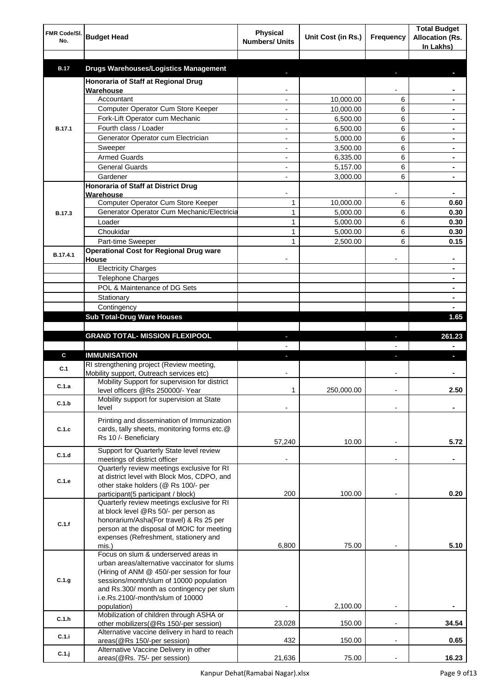| FMR Code/SI.<br>No. | <b>Budget Head</b>                                                                    | <b>Physical</b><br><b>Numbers/ Units</b> | Unit Cost (in Rs.) | Frequency      | <b>Total Budget</b><br><b>Allocation (Rs.</b><br>In Lakhs) |
|---------------------|---------------------------------------------------------------------------------------|------------------------------------------|--------------------|----------------|------------------------------------------------------------|
| <b>B.17</b>         | <b>Drugs Warehouses/Logistics Management</b>                                          |                                          |                    |                |                                                            |
|                     | Honoraria of Staff at Regional Drug                                                   |                                          |                    |                |                                                            |
|                     | Warehouse                                                                             |                                          |                    |                |                                                            |
|                     | Accountant                                                                            |                                          | 10,000.00          | 6              |                                                            |
|                     | Computer Operator Cum Store Keeper                                                    |                                          | 10,000.00          | 6              |                                                            |
|                     | Fork-Lift Operator cum Mechanic                                                       |                                          | 6,500.00           | 6              |                                                            |
| <b>B.17.1</b>       | Fourth class / Loader                                                                 |                                          | 6,500.00           | 6              |                                                            |
|                     | Generator Operator cum Electrician                                                    |                                          | 5,000.00           | 6              |                                                            |
|                     | Sweeper                                                                               |                                          | 3,500.00           | 6              |                                                            |
|                     | <b>Armed Guards</b>                                                                   |                                          | 6,335.00           | 6              |                                                            |
|                     | <b>General Guards</b>                                                                 |                                          | 5,157.00           | 6              |                                                            |
|                     | Gardener                                                                              |                                          | 3,000.00           | 6              |                                                            |
|                     | Honoraria of Staff at District Drug<br>Warehouse                                      |                                          |                    |                |                                                            |
|                     | Computer Operator Cum Store Keeper                                                    | 1                                        | 10,000.00          | 6              | 0.60                                                       |
| <b>B.17.3</b>       | Generator Operator Cum Mechanic/Electricia                                            | $\mathbf{1}$                             | 5,000.00           | 6              | 0.30                                                       |
|                     | Loader                                                                                | 1                                        | 5,000.00           | 6              | 0.30                                                       |
|                     | Choukidar                                                                             | 1                                        | 5,000.00           | 6              | 0.30                                                       |
|                     | Part-time Sweeper                                                                     | 1                                        | 2,500.00           | 6              | 0.15                                                       |
| B.17.4.1            | <b>Operational Cost for Regional Drug ware</b>                                        |                                          |                    |                | ۰                                                          |
|                     | House<br><b>Electricity Charges</b>                                                   |                                          |                    |                | ۰                                                          |
|                     | <b>Telephone Charges</b>                                                              |                                          |                    |                | ۰                                                          |
|                     | POL & Maintenance of DG Sets                                                          |                                          |                    |                | ۰                                                          |
|                     | Stationary                                                                            |                                          |                    |                | ٠                                                          |
|                     | Contingency                                                                           |                                          |                    |                |                                                            |
|                     | <b>Sub Total-Drug Ware Houses</b>                                                     |                                          |                    |                | 1.65                                                       |
|                     |                                                                                       |                                          |                    |                |                                                            |
|                     | <b>GRAND TOTAL- MISSION FLEXIPOOL</b>                                                 |                                          |                    | ı              | 261.23                                                     |
|                     |                                                                                       |                                          |                    |                |                                                            |
| C                   | <b>IMMUNISATION</b>                                                                   |                                          |                    |                |                                                            |
| C.1                 | RI strengthening project (Review meeting,<br>Mobility support, Outreach services etc) |                                          |                    |                |                                                            |
| C.1.a               | Mobility Support for supervision for district                                         |                                          |                    |                |                                                            |
|                     | level officers @Rs 250000/- Year                                                      | 1                                        | 250,000.00         |                | 2.50                                                       |
| C.1.b               | Mobility support for supervision at State<br>level                                    |                                          |                    |                |                                                            |
|                     | Printing and dissemination of Immunization                                            |                                          |                    |                |                                                            |
| C.1.c               | cards, tally sheets, monitoring forms etc.@                                           |                                          |                    |                |                                                            |
|                     | Rs 10 /- Beneficiary                                                                  | 57,240                                   | 10.00              |                | 5.72                                                       |
|                     | Support for Quarterly State level review                                              |                                          |                    |                |                                                            |
| C.1.d               | meetings of district officer                                                          |                                          |                    | $\blacksquare$ |                                                            |
|                     | Quarterly review meetings exclusive for RI                                            |                                          |                    |                |                                                            |
| C.1.e               | at district level with Block Mos, CDPO, and                                           |                                          |                    |                |                                                            |
|                     | other stake holders (@ Rs 100/- per<br>participant(5 participant / block)             | 200                                      | 100.00             |                | 0.20                                                       |
|                     | Quarterly review meetings exclusive for RI                                            |                                          |                    |                |                                                            |
|                     | at block level @Rs 50/- per person as                                                 |                                          |                    |                |                                                            |
| C.1.f               | honorarium/Asha(For travel) & Rs 25 per                                               |                                          |                    |                |                                                            |
|                     | person at the disposal of MOIC for meeting                                            |                                          |                    |                |                                                            |
|                     | expenses (Refreshment, stationery and                                                 |                                          |                    |                |                                                            |
|                     | mis.)<br>Focus on slum & underserved areas in                                         | 6,800                                    | 75.00              |                | 5.10                                                       |
|                     | urban areas/alternative vaccinator for slums                                          |                                          |                    |                |                                                            |
|                     | (Hiring of ANM @ 450/-per session for four                                            |                                          |                    |                |                                                            |
| C.1.g               | sessions/month/slum of 10000 population                                               |                                          |                    |                |                                                            |
|                     | and Rs.300/ month as contingency per slum                                             |                                          |                    |                |                                                            |
|                     | i.e.Rs.2100/-month/slum of 10000                                                      |                                          |                    |                |                                                            |
|                     | population)                                                                           |                                          | 2,100.00           |                |                                                            |
| C.1.h               | Mobilization of children through ASHA or<br>other mobilizers(@Rs 150/-per session)    | 23,028                                   | 150.00             | $\overline{a}$ | 34.54                                                      |
|                     | Alternative vaccine delivery in hard to reach                                         |                                          |                    |                |                                                            |
| C.1.i               | areas(@Rs 150/-per session)                                                           | 432                                      | 150.00             | $\overline{a}$ | 0.65                                                       |
| C.1.j               | Alternative Vaccine Delivery in other                                                 |                                          |                    |                |                                                            |
|                     | areas(@Rs. 75/- per session)                                                          | 21,636                                   | 75.00              |                | 16.23                                                      |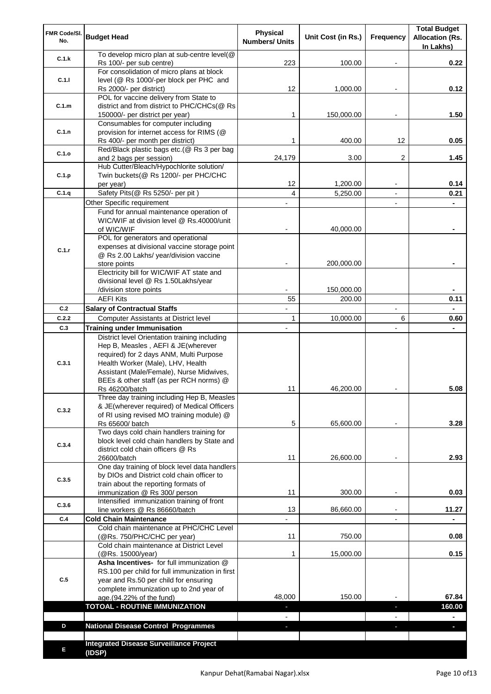| FMR Code/SI.<br>No. | <b>Budget Head</b>                                                                   | Physical<br><b>Numbers/ Units</b> | Unit Cost (in Rs.) | Frequency                     | <b>Total Budget</b><br><b>Allocation (Rs.</b><br>In Lakhs) |
|---------------------|--------------------------------------------------------------------------------------|-----------------------------------|--------------------|-------------------------------|------------------------------------------------------------|
| C.1.k               | To develop micro plan at sub-centre level(@<br>Rs 100/- per sub centre)              | 223                               | 100.00             |                               | 0.22                                                       |
| C.1.1               | For consolidation of micro plans at block<br>level (@ Rs 1000/-per block per PHC and |                                   |                    |                               |                                                            |
|                     | Rs 2000/- per district)<br>POL for vaccine delivery from State to                    | 12                                | 1,000.00           |                               | 0.12                                                       |
| C.1.m               | district and from district to PHC/CHCs(@ Rs<br>150000/- per district per year)       | 1                                 | 150,000.00         |                               | 1.50                                                       |
|                     | Consumables for computer including                                                   |                                   |                    |                               |                                                            |
| C.1.n               | provision for internet access for RIMS (@<br>Rs 400/- per month per district)        | 1                                 | 400.00             | 12                            | 0.05                                                       |
| C.1.o               | Red/Black plastic bags etc.(@ Rs 3 per bag                                           |                                   |                    |                               |                                                            |
|                     | and 2 bags per session)<br>Hub Cutter/Bleach/Hypochlorite solution/                  | 24,179                            | 3.00               | 2                             | 1.45                                                       |
| C.1.p               | Twin buckets(@ Rs 1200/- per PHC/CHC                                                 |                                   |                    |                               |                                                            |
|                     | per year)                                                                            | 12                                | 1,200.00           |                               | 0.14                                                       |
| C.1.q               | Safety Pits(@ Rs 5250/- per pit)                                                     | 4                                 | 5,250.00           |                               | 0.21                                                       |
|                     | Other Specific requirement<br>Fund for annual maintenance operation of               |                                   |                    | $\blacksquare$                |                                                            |
|                     | WIC/WIF at division level @ Rs.40000/unit                                            |                                   |                    |                               |                                                            |
|                     | of WIC/WIF                                                                           |                                   | 40,000.00          |                               |                                                            |
|                     | POL for generators and operational                                                   |                                   |                    |                               |                                                            |
| C.1.r               | expenses at divisional vaccine storage point                                         |                                   |                    |                               |                                                            |
|                     | @ Rs 2.00 Lakhs/ year/division vaccine<br>store points                               |                                   | 200,000.00         |                               |                                                            |
|                     | Electricity bill for WIC/WIF AT state and                                            |                                   |                    |                               |                                                            |
|                     | divisional level @ Rs 1.50Lakhs/year                                                 |                                   |                    |                               |                                                            |
|                     | /division store points                                                               |                                   | 150,000.00         |                               |                                                            |
| C.2                 | <b>AEFI Kits</b>                                                                     | 55                                | 200.00             |                               | 0.11                                                       |
| C.2.2               | <b>Salary of Contractual Staffs</b><br>Computer Assistants at District level         | $\mathbf{1}$                      | 10,000.00          | $\overline{\phantom{a}}$<br>6 | 0.60                                                       |
| C.3                 | <b>Training under Immunisation</b>                                                   | $\overline{a}$                    |                    | $\overline{a}$                |                                                            |
|                     | District level Orientation training including                                        |                                   |                    |                               |                                                            |
|                     | Hep B, Measles, AEFI & JE(wherever                                                   |                                   |                    |                               |                                                            |
|                     | required) for 2 days ANM, Multi Purpose                                              |                                   |                    |                               |                                                            |
| C.3.1               | Health Worker (Male), LHV, Health                                                    |                                   |                    |                               |                                                            |
|                     | Assistant (Male/Female), Nurse Midwives,<br>BEEs & other staff (as per RCH norms) @  |                                   |                    |                               |                                                            |
|                     | Rs 46200/batch                                                                       | 11                                | 46,200.00          |                               | 5.08                                                       |
|                     | Three day training including Hep B, Measles                                          |                                   |                    |                               |                                                            |
| C.3.2               | & JE(wherever required) of Medical Officers                                          |                                   |                    |                               |                                                            |
|                     | of RI using revised MO training module) @<br>Rs 65600/ batch                         | 5                                 | 65,600.00          |                               | 3.28                                                       |
|                     | Two days cold chain handlers training for                                            |                                   |                    |                               |                                                            |
| C.3.4               | block level cold chain handlers by State and                                         |                                   |                    |                               |                                                            |
|                     | district cold chain officers @ Rs                                                    |                                   |                    |                               |                                                            |
|                     | 26600/batch<br>One day training of block level data handlers                         | 11                                | 26,600.00          |                               | 2.93                                                       |
|                     | by DIOs and District cold chain officer to                                           |                                   |                    |                               |                                                            |
| C.3.5               | train about the reporting formats of                                                 |                                   |                    |                               |                                                            |
|                     | immunization @ Rs 300/ person                                                        | 11                                | 300.00             | $\overline{\phantom{a}}$      | 0.03                                                       |
| C.3.6               | Intensified immunization training of front                                           | 13                                | 86,660.00          | $\blacksquare$                | 11.27                                                      |
| C.4                 | line workers @ Rs 86660/batch<br><b>Cold Chain Maintenance</b>                       |                                   |                    |                               |                                                            |
|                     | Cold chain maintenance at PHC/CHC Level                                              |                                   |                    |                               |                                                            |
|                     | (@Rs. 750/PHC/CHC per year)                                                          | 11                                | 750.00             |                               | 0.08                                                       |
|                     | Cold chain maintenance at District Level                                             |                                   |                    |                               |                                                            |
|                     | (@Rs. 15000/year)<br>Asha Incentives- for full immunization @                        | 1                                 | 15,000.00          |                               | 0.15                                                       |
|                     | RS.100 per child for full immunization in first                                      |                                   |                    |                               |                                                            |
| C.5                 | year and Rs.50 per child for ensuring                                                |                                   |                    |                               |                                                            |
|                     | complete immunization up to 2nd year of                                              |                                   |                    |                               |                                                            |
|                     | age.(94.22% of the fund)                                                             | 48,000                            | 150.00             |                               | 67.84                                                      |
|                     | <b>TOTOAL - ROUTINE IMMUNIZATION</b>                                                 |                                   |                    | r.                            | 160.00                                                     |
| D                   | <b>National Disease Control Programmes</b>                                           |                                   |                    |                               |                                                            |
|                     |                                                                                      |                                   |                    |                               |                                                            |
| Е                   | <b>Integrated Disease Surveillance Project</b><br>(IDSP)                             |                                   |                    |                               |                                                            |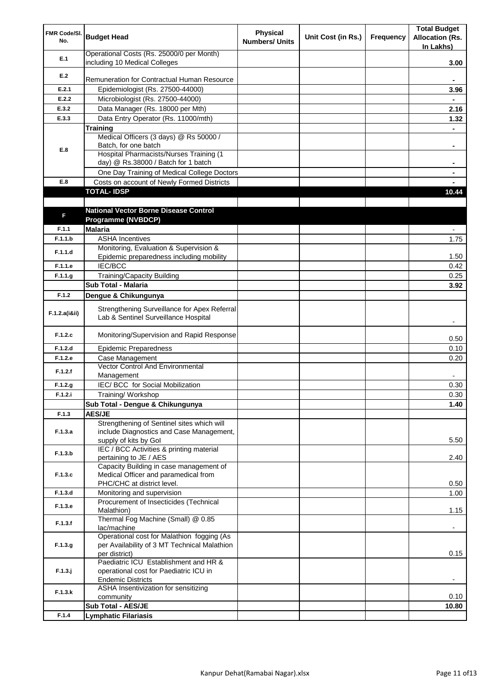| FMR Code/SI.<br>No. | <b>Budget Head</b>                                                                   | <b>Physical</b><br><b>Numbers/ Units</b> | Unit Cost (in Rs.) | Frequency | <b>Total Budget</b><br><b>Allocation (Rs.</b><br>In Lakhs) |
|---------------------|--------------------------------------------------------------------------------------|------------------------------------------|--------------------|-----------|------------------------------------------------------------|
| E.1                 | Operational Costs (Rs. 25000/0 per Month)<br>including 10 Medical Colleges           |                                          |                    |           | 3.00                                                       |
| E.2                 |                                                                                      |                                          |                    |           |                                                            |
|                     | Remuneration for Contractual Human Resource                                          |                                          |                    |           |                                                            |
| E.2.1               | Epidemiologist (Rs. 27500-44000)                                                     |                                          |                    |           | 3.96                                                       |
| E.2.2               | Microbiologist (Rs. 27500-44000)                                                     |                                          |                    |           |                                                            |
| E.3.2               | Data Manager (Rs. 18000 per Mth)                                                     |                                          |                    |           | 2.16                                                       |
| E.3.3               | Data Entry Operator (Rs. 11000/mth)                                                  |                                          |                    |           | 1.32                                                       |
|                     | <b>Training</b><br>Medical Officers (3 days) @ Rs 50000 /                            |                                          |                    |           |                                                            |
|                     | Batch, for one batch                                                                 |                                          |                    |           | ۰                                                          |
| E.8                 | Hospital Pharmacists/Nurses Training (1                                              |                                          |                    |           |                                                            |
|                     | day) @ Rs.38000 / Batch for 1 batch                                                  |                                          |                    |           |                                                            |
|                     | One Day Training of Medical College Doctors                                          |                                          |                    |           |                                                            |
| E.8                 | Costs on account of Newly Formed Districts                                           |                                          |                    |           |                                                            |
|                     | <b>TOTAL-IDSP</b>                                                                    |                                          |                    |           | 10.44                                                      |
|                     |                                                                                      |                                          |                    |           |                                                            |
| F                   | <b>National Vector Borne Disease Control</b>                                         |                                          |                    |           |                                                            |
| F.1.1               | Programme (NVBDCP)<br><b>Malaria</b>                                                 |                                          |                    |           |                                                            |
| F.1.1.b             | <b>ASHA Incentives</b>                                                               |                                          |                    |           |                                                            |
|                     | Monitoring, Evaluation & Supervision &                                               |                                          |                    |           | 1.75                                                       |
| F.1.1.d             | Epidemic preparedness including mobility                                             |                                          |                    |           | 1.50                                                       |
| F.1.1.e             | <b>IEC/BCC</b>                                                                       |                                          |                    |           | 0.42                                                       |
| F.1.1.g             | <b>Training/Capacity Building</b>                                                    |                                          |                    |           | 0.25                                                       |
|                     | Sub Total - Malaria                                                                  |                                          |                    |           | 3.92                                                       |
| F.1.2               | Dengue & Chikungunya                                                                 |                                          |                    |           |                                                            |
| F.1.2.a(iⅈ)         | Strengthening Surveillance for Apex Referral<br>Lab & Sentinel Surveillance Hospital |                                          |                    |           |                                                            |
| F.1.2.c             | Monitoring/Supervision and Rapid Response                                            |                                          |                    |           | 0.50                                                       |
| F.1.2.d             | <b>Epidemic Preparedness</b>                                                         |                                          |                    |           | 0.10                                                       |
| F.1.2.e             | Case Management                                                                      |                                          |                    |           | 0.20                                                       |
| F.1.2.f             | Vector Control And Environmental<br>Management                                       |                                          |                    |           |                                                            |
| F.1.2.g             | IEC/ BCC for Social Mobilization                                                     |                                          |                    |           | 0.30                                                       |
| F.1.2.i             | Training/Workshop                                                                    |                                          |                    |           | 0.30                                                       |
|                     | Sub Total - Dengue & Chikungunya                                                     |                                          |                    |           | 1.40                                                       |
| F.1.3               | <b>AES/JE</b>                                                                        |                                          |                    |           |                                                            |
|                     | Strengthening of Sentinel sites which will                                           |                                          |                    |           |                                                            |
| F.1.3.a             | include Diagnostics and Case Management,<br>supply of kits by Gol                    |                                          |                    |           | 5.50                                                       |
|                     | IEC / BCC Activities & printing material                                             |                                          |                    |           |                                                            |
| F.1.3.b             | pertaining to JE / AES                                                               |                                          |                    |           | 2.40                                                       |
|                     | Capacity Building in case management of                                              |                                          |                    |           |                                                            |
| F.1.3.c             | Medical Officer and paramedical from                                                 |                                          |                    |           |                                                            |
|                     | PHC/CHC at district level.                                                           |                                          |                    |           | 0.50                                                       |
| F.1.3.d             | Monitoring and supervision                                                           |                                          |                    |           | 1.00                                                       |
| F.1.3.e             | Procurement of Insecticides (Technical<br>Malathion)                                 |                                          |                    |           | 1.15                                                       |
| F.1.3.f             | Thermal Fog Machine (Small) @ 0.85<br>lac/machine                                    |                                          |                    |           |                                                            |
|                     | Operational cost for Malathion fogging (As                                           |                                          |                    |           |                                                            |
| F.1.3.g             | per Availability of 3 MT Technical Malathion                                         |                                          |                    |           |                                                            |
|                     | per district)<br>Paediatric ICU Establishment and HR &                               |                                          |                    |           | 0.15                                                       |
| $F.1.3.$ j          | operational cost for Paediatric ICU in                                               |                                          |                    |           |                                                            |
|                     | <b>Endemic Districts</b>                                                             |                                          |                    |           | $\overline{\phantom{a}}$                                   |
|                     | ASHA Insentivization for sensitizing                                                 |                                          |                    |           |                                                            |
| F.1.3.k             | community                                                                            |                                          |                    |           | 0.10                                                       |
|                     | Sub Total - AES/JE                                                                   |                                          |                    |           | 10.80                                                      |
| F.1.4               | <b>Lymphatic Filariasis</b>                                                          |                                          |                    |           |                                                            |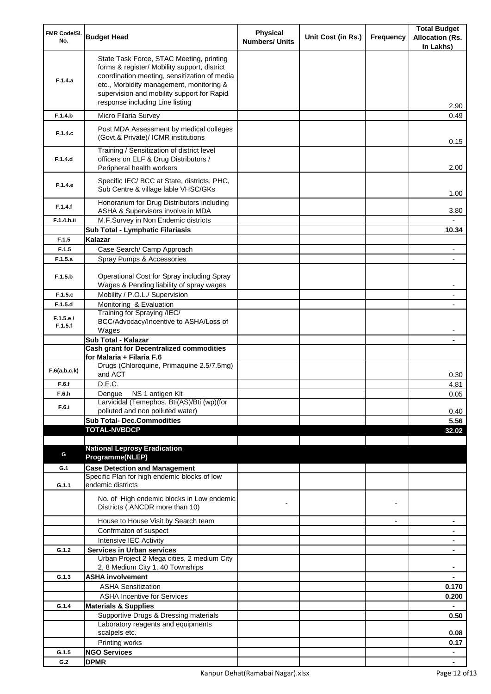| FMR Code/SI.        | <b>Budget Head</b>                                                                                                                                                                                                                                                    | <b>Physical</b>       | Unit Cost (in Rs.) | Frequency      | <b>Total Budget</b><br><b>Allocation (Rs.</b> |
|---------------------|-----------------------------------------------------------------------------------------------------------------------------------------------------------------------------------------------------------------------------------------------------------------------|-----------------------|--------------------|----------------|-----------------------------------------------|
| No.                 |                                                                                                                                                                                                                                                                       | <b>Numbers/ Units</b> |                    |                | In Lakhs)                                     |
| F.1.4.a             | State Task Force, STAC Meeting, printing<br>forms & register/ Mobility support, district<br>coordination meeting, sensitization of media<br>etc., Morbidity management, monitoring &<br>supervision and mobility support for Rapid<br>response including Line listing |                       |                    |                | 2.90                                          |
| F.1.4.b             | Micro Filaria Survey                                                                                                                                                                                                                                                  |                       |                    |                | 0.49                                          |
| F.1.4.c             | Post MDA Assessment by medical colleges<br>(Govt, & Private)/ ICMR institutions                                                                                                                                                                                       |                       |                    |                | 0.15                                          |
| F.1.4.d             | Training / Sensitization of district level<br>officers on ELF & Drug Distributors /<br>Peripheral health workers                                                                                                                                                      |                       |                    |                | 2.00                                          |
| F.1.4.e             | Specific IEC/ BCC at State, districts, PHC,<br>Sub Centre & village lable VHSC/GKs                                                                                                                                                                                    |                       |                    |                | 1.00                                          |
| F.1.4.f             | Honorarium for Drug Distributors including<br>ASHA & Supervisors involve in MDA                                                                                                                                                                                       |                       |                    |                | 3.80                                          |
| F.1.4.h.ii          | M.F.Survey in Non Endemic districts                                                                                                                                                                                                                                   |                       |                    |                |                                               |
|                     | Sub Total - Lymphatic Filariasis                                                                                                                                                                                                                                      |                       |                    |                | 10.34                                         |
| F.1.5               | Kalazar                                                                                                                                                                                                                                                               |                       |                    |                |                                               |
| F.1.5               | Case Search/ Camp Approach                                                                                                                                                                                                                                            |                       |                    |                |                                               |
| F.1.5.a             | Spray Pumps & Accessories                                                                                                                                                                                                                                             |                       |                    |                |                                               |
| F.1.5.b             | Operational Cost for Spray including Spray<br>Wages & Pending liability of spray wages                                                                                                                                                                                |                       |                    |                |                                               |
| F.1.5.c             | Mobility / P.O.L./ Supervision                                                                                                                                                                                                                                        |                       |                    |                |                                               |
| F.1.5.d             | Monitoring & Evaluation                                                                                                                                                                                                                                               |                       |                    |                |                                               |
| F.1.5.e/<br>F.1.5.f | Training for Spraying /IEC/<br>BCC/Advocacy/Incentive to ASHA/Loss of<br>Wages                                                                                                                                                                                        |                       |                    |                |                                               |
|                     | Sub Total - Kalazar                                                                                                                                                                                                                                                   |                       |                    |                |                                               |
|                     | <b>Cash grant for Decentralized commodities</b><br>for Malaria + Filaria F.6                                                                                                                                                                                          |                       |                    |                |                                               |
| F.6(a,b,c,k)        | Drugs (Chloroquine, Primaquine 2.5/7.5mg)<br>and ACT                                                                                                                                                                                                                  |                       |                    |                | 0.30                                          |
| F.6.f               | D.E.C.                                                                                                                                                                                                                                                                |                       |                    |                | 4.81                                          |
| F.6.h               | Dengue NS 1 antigen Kit                                                                                                                                                                                                                                               |                       |                    |                | 0.05                                          |
| F.6.i               | Larvicidal (Temephos, Bti(AS)/Bti (wp)(for<br>polluted and non polluted water)                                                                                                                                                                                        |                       |                    |                |                                               |
|                     | <b>Sub Total- Dec.Commodities</b>                                                                                                                                                                                                                                     |                       |                    |                | 0.40<br>5.56                                  |
|                     | <b>TOTAL-NVBDCP</b>                                                                                                                                                                                                                                                   |                       |                    |                | 32.02                                         |
|                     |                                                                                                                                                                                                                                                                       |                       |                    |                |                                               |
|                     | <b>National Leprosy Eradication</b>                                                                                                                                                                                                                                   |                       |                    |                |                                               |
| G                   | Programme(NLEP)                                                                                                                                                                                                                                                       |                       |                    |                |                                               |
| G.1                 | <b>Case Detection and Management</b>                                                                                                                                                                                                                                  |                       |                    |                |                                               |
| G.1.1               | Specific Plan for high endemic blocks of low<br>endemic districts                                                                                                                                                                                                     |                       |                    |                |                                               |
|                     | No. of High endemic blocks in Low endemic<br>Districts (ANCDR more than 10)                                                                                                                                                                                           |                       |                    |                |                                               |
|                     | House to House Visit by Search team                                                                                                                                                                                                                                   |                       |                    | $\blacksquare$ | ۰                                             |
|                     | Confrmaton of suspect                                                                                                                                                                                                                                                 |                       |                    |                | ۰                                             |
|                     | Intensive IEC Activity                                                                                                                                                                                                                                                |                       |                    |                | ۰                                             |
| G.1.2               | <b>Services in Urban services</b>                                                                                                                                                                                                                                     |                       |                    |                | ٠                                             |
|                     | Urban Project 2 Mega cities, 2 medium City<br>2, 8 Medium City 1, 40 Townships                                                                                                                                                                                        |                       |                    |                |                                               |
| G.1.3               | <b>ASHA involvement</b>                                                                                                                                                                                                                                               |                       |                    |                |                                               |
|                     | <b>ASHA Sensitization</b>                                                                                                                                                                                                                                             |                       |                    |                | 0.170                                         |
|                     | <b>ASHA Incentive for Services</b>                                                                                                                                                                                                                                    |                       |                    |                | 0.200                                         |
| G.1.4               | <b>Materials &amp; Supplies</b>                                                                                                                                                                                                                                       |                       |                    |                |                                               |
|                     | Supportive Drugs & Dressing materials                                                                                                                                                                                                                                 |                       |                    |                | 0.50                                          |
|                     | Laboratory reagents and equipments                                                                                                                                                                                                                                    |                       |                    |                |                                               |
|                     | scalpels etc.                                                                                                                                                                                                                                                         |                       |                    |                | 0.08                                          |
|                     | Printing works                                                                                                                                                                                                                                                        |                       |                    |                | 0.17                                          |
| G.1.5               | <b>NGO Services</b>                                                                                                                                                                                                                                                   |                       |                    |                | ۰                                             |
| G.2                 | <b>DPMR</b>                                                                                                                                                                                                                                                           |                       |                    |                |                                               |